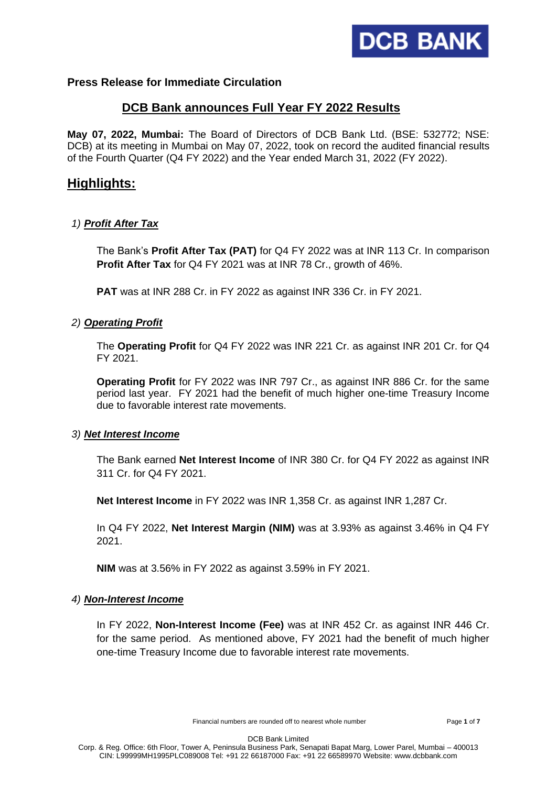

# **Press Release for Immediate Circulation**

# **DCB Bank announces Full Year FY 2022 Results**

**May 07, 2022, Mumbai:** The Board of Directors of DCB Bank Ltd. (BSE: 532772; NSE: DCB) at its meeting in Mumbai on May 07, 2022, took on record the audited financial results of the Fourth Quarter (Q4 FY 2022) and the Year ended March 31, 2022 (FY 2022).

# **Highlights:**

## *1) Profit After Tax*

The Bank's **Profit After Tax (PAT)** for Q4 FY 2022 was at INR 113 Cr. In comparison **Profit After Tax** for Q4 FY 2021 was at INR 78 Cr., growth of 46%.

**PAT** was at INR 288 Cr. in FY 2022 as against INR 336 Cr. in FY 2021.

## *2) Operating Profit*

The **Operating Profit** for Q4 FY 2022 was INR 221 Cr. as against INR 201 Cr. for Q4 FY 2021.

**Operating Profit** for FY 2022 was INR 797 Cr., as against INR 886 Cr. for the same period last year. FY 2021 had the benefit of much higher one-time Treasury Income due to favorable interest rate movements.

### *3) Net Interest Income*

The Bank earned **Net Interest Income** of INR 380 Cr. for Q4 FY 2022 as against INR 311 Cr. for Q4 FY 2021.

**Net Interest Income** in FY 2022 was INR 1,358 Cr. as against INR 1,287 Cr.

In Q4 FY 2022, **Net Interest Margin (NIM)** was at 3.93% as against 3.46% in Q4 FY 2021.

**NIM** was at 3.56% in FY 2022 as against 3.59% in FY 2021.

### *4) Non-Interest Income*

In FY 2022, **Non-Interest Income (Fee)** was at INR 452 Cr. as against INR 446 Cr. for the same period. As mentioned above, FY 2021 had the benefit of much higher one-time Treasury Income due to favorable interest rate movements.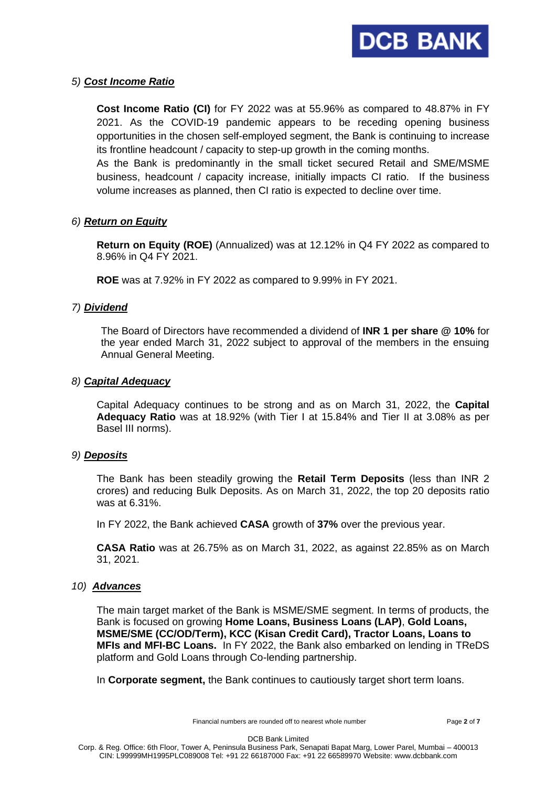

## *5) Cost Income Ratio*

**Cost Income Ratio (CI)** for FY 2022 was at 55.96% as compared to 48.87% in FY 2021. As the COVID-19 pandemic appears to be receding opening business opportunities in the chosen self-employed segment, the Bank is continuing to increase its frontline headcount / capacity to step-up growth in the coming months.

As the Bank is predominantly in the small ticket secured Retail and SME/MSME business, headcount / capacity increase, initially impacts CI ratio. If the business volume increases as planned, then CI ratio is expected to decline over time.

# *6) Return on Equity*

**Return on Equity (ROE)** (Annualized) was at 12.12% in Q4 FY 2022 as compared to 8.96% in Q4 FY 2021.

**ROE** was at 7.92% in FY 2022 as compared to 9.99% in FY 2021.

## *7) Dividend*

The Board of Directors have recommended a dividend of **INR 1 per share @ 10%** for the year ended March 31, 2022 subject to approval of the members in the ensuing Annual General Meeting.

### *8) Capital Adequacy*

Capital Adequacy continues to be strong and as on March 31, 2022, the **Capital Adequacy Ratio** was at 18.92% (with Tier I at 15.84% and Tier II at 3.08% as per Basel III norms).

### *9) Deposits*

The Bank has been steadily growing the **Retail Term Deposits** (less than INR 2 crores) and reducing Bulk Deposits. As on March 31, 2022, the top 20 deposits ratio was at 6.31%.

In FY 2022, the Bank achieved **CASA** growth of **37%** over the previous year.

**CASA Ratio** was at 26.75% as on March 31, 2022, as against 22.85% as on March 31, 2021.

### *10) Advances*

The main target market of the Bank is MSME/SME segment. In terms of products, the Bank is focused on growing **Home Loans, Business Loans (LAP)**, **Gold Loans, MSME/SME (CC/OD/Term), KCC (Kisan Credit Card), Tractor Loans, Loans to MFIs and MFI-BC Loans.** In FY 2022, the Bank also embarked on lending in TReDS platform and Gold Loans through Co-lending partnership.

In **Corporate segment,** the Bank continues to cautiously target short term loans.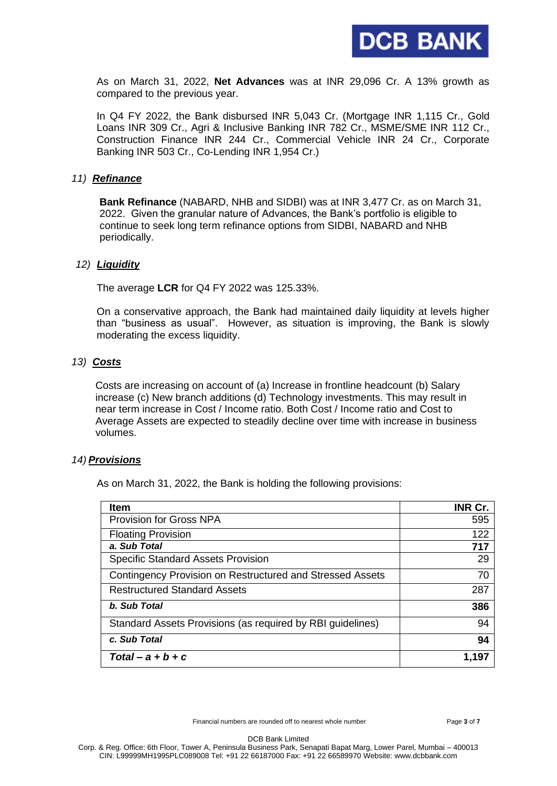

As on March 31, 2022, **Net Advances** was at INR 29,096 Cr. A 13% growth as compared to the previous year.

In Q4 FY 2022, the Bank disbursed INR 5,043 Cr. (Mortgage INR 1,115 Cr., Gold Loans INR 309 Cr., Agri & Inclusive Banking INR 782 Cr., MSME/SME INR 112 Cr., Construction Finance INR 244 Cr., Commercial Vehicle INR 24 Cr., Corporate Banking INR 503 Cr., Co-Lending INR 1,954 Cr.)

### *11) Refinance*

**Bank Refinance** (NABARD, NHB and SIDBI) was at INR 3,477 Cr. as on March 31, 2022. Given the granular nature of Advances, the Bank's portfolio is eligible to continue to seek long term refinance options from SIDBI, NABARD and NHB periodically.

#### *12) Liquidity*

The average **LCR** for Q4 FY 2022 was 125.33%.

On a conservative approach, the Bank had maintained daily liquidity at levels higher than "business as usual". However, as situation is improving, the Bank is slowly moderating the excess liquidity.

#### *13) Costs*

Costs are increasing on account of (a) Increase in frontline headcount (b) Salary increase (c) New branch additions (d) Technology investments. This may result in near term increase in Cost / Income ratio. Both Cost / Income ratio and Cost to Average Assets are expected to steadily decline over time with increase in business volumes.

### *14) Provisions*

As on March 31, 2022, the Bank is holding the following provisions:

| <b>Item</b>                                                | INR Cr. |
|------------------------------------------------------------|---------|
| <b>Provision for Gross NPA</b>                             | 595     |
| <b>Floating Provision</b>                                  | 122     |
| a. Sub Total                                               | 717     |
| <b>Specific Standard Assets Provision</b>                  | 29      |
| Contingency Provision on Restructured and Stressed Assets  | 70      |
| <b>Restructured Standard Assets</b>                        | 287     |
| b. Sub Total                                               | 386     |
| Standard Assets Provisions (as required by RBI guidelines) | 94      |
| c. Sub Total                                               | 94      |
| $Total - a + b + c$                                        | 1,197   |

Financial numbers are rounded off to nearest whole number Page **3** of **7**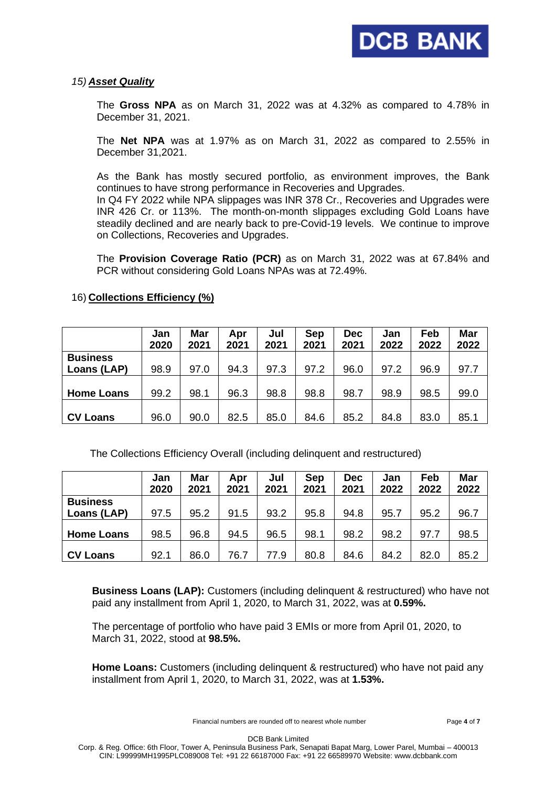## *15) Asset Quality*

The **Gross NPA** as on March 31, 2022 was at 4.32% as compared to 4.78% in December 31, 2021.

The **Net NPA** was at 1.97% as on March 31, 2022 as compared to 2.55% in December 31,2021.

As the Bank has mostly secured portfolio, as environment improves, the Bank continues to have strong performance in Recoveries and Upgrades. In Q4 FY 2022 while NPA slippages was INR 378 Cr., Recoveries and Upgrades were

INR 426 Cr. or 113%. The month-on-month slippages excluding Gold Loans have steadily declined and are nearly back to pre-Covid-19 levels. We continue to improve on Collections, Recoveries and Upgrades.

The **Provision Coverage Ratio (PCR)** as on March 31, 2022 was at 67.84% and PCR without considering Gold Loans NPAs was at 72.49%.

|                   | Jan<br>2020 | Mar<br>2021 | Apr<br>2021 | Jul<br>2021 | Sep<br>2021 | <b>Dec</b><br>2021 | Jan<br>2022 | Feb<br>2022 | <b>Mar</b><br>2022 |
|-------------------|-------------|-------------|-------------|-------------|-------------|--------------------|-------------|-------------|--------------------|
| <b>Business</b>   |             |             |             |             |             |                    |             |             |                    |
| Loans (LAP)       | 98.9        | 97.0        | 94.3        | 97.3        | 97.2        | 96.0               | 97.2        | 96.9        | 97.7               |
|                   |             |             |             |             |             |                    |             |             |                    |
| <b>Home Loans</b> | 99.2        | 98.1        | 96.3        | 98.8        | 98.8        | 98.7               | 98.9        | 98.5        | 99.0               |
|                   |             |             |             |             |             |                    |             |             |                    |
| <b>CV Loans</b>   | 96.0        | 90.0        | 82.5        | 85.0        | 84.6        | 85.2               | 84.8        | 83.0        | 85.1               |

## 16) **Collections Efficiency (%)**

The Collections Efficiency Overall (including delinquent and restructured)

|                   | Jan<br>2020 | Mar<br>2021 | Apr<br>2021 | Jul<br>2021 | <b>Sep</b><br>2021 | <b>Dec</b><br>2021 | Jan<br>2022 | Feb<br>2022 | Mar<br>2022 |
|-------------------|-------------|-------------|-------------|-------------|--------------------|--------------------|-------------|-------------|-------------|
| <b>Business</b>   |             |             |             |             |                    |                    |             |             |             |
| Loans (LAP)       | 97.5        | 95.2        | 91.5        | 93.2        | 95.8               | 94.8               | 95.7        | 95.2        | 96.7        |
| <b>Home Loans</b> | 98.5        | 96.8        | 94.5        | 96.5        | 98.1               | 98.2               | 98.2        | 97.7        | 98.5        |
| <b>CV Loans</b>   | 92.1        | 86.0        | 76.7        | 77.9        | 80.8               | 84.6               | 84.2        | 82.0        | 85.2        |

 **Business Loans (LAP):** Customers (including delinquent & restructured) who have not paid any installment from April 1, 2020, to March 31, 2022, was at **0.59%.**

 The percentage of portfolio who have paid 3 EMIs or more from April 01, 2020, to March 31, 2022, stood at **98.5%.**

 **Home Loans:** Customers (including delinquent & restructured) who have not paid any installment from April 1, 2020, to March 31, 2022, was at **1.53%.**

Financial numbers are rounded off to nearest whole number Page **4** of **7**

DCB Bank Limited

Corp. & Reg. Office: 6th Floor, Tower A, Peninsula Business Park, Senapati Bapat Marg, Lower Parel, Mumbai – 400013 CIN: L99999MH1995PLC089008 Tel: +91 22 66187000 Fax: +91 22 66589970 Website: www.dcbbank.com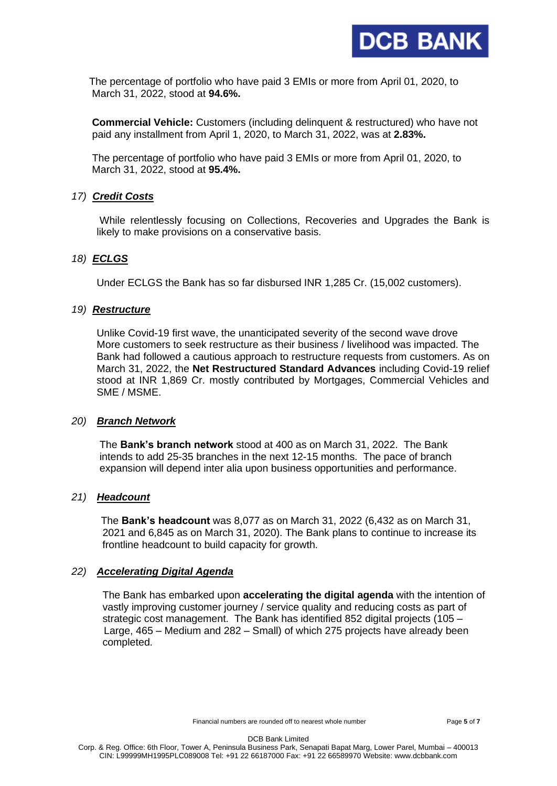

 The percentage of portfolio who have paid 3 EMIs or more from April 01, 2020, to March 31, 2022, stood at **94.6%.**

 **Commercial Vehicle:** Customers (including delinquent & restructured) who have not paid any installment from April 1, 2020, to March 31, 2022, was at **2.83%.**

 The percentage of portfolio who have paid 3 EMIs or more from April 01, 2020, to March 31, 2022, stood at **95.4%.**

## *17) Credit Costs*

While relentlessly focusing on Collections, Recoveries and Upgrades the Bank is likely to make provisions on a conservative basis.

## *18) ECLGS*

Under ECLGS the Bank has so far disbursed INR 1,285 Cr. (15,002 customers).

## *19) Restructure*

Unlike Covid-19 first wave, the unanticipated severity of the second wave drove More customers to seek restructure as their business / livelihood was impacted. The Bank had followed a cautious approach to restructure requests from customers. As on March 31, 2022, the **Net Restructured Standard Advances** including Covid-19 relief stood at INR 1,869 Cr. mostly contributed by Mortgages, Commercial Vehicles and SME / MSME.

### *20) Branch Network*

The **Bank's branch network** stood at 400 as on March 31, 2022. The Bank intends to add 25-35 branches in the next 12-15 months. The pace of branch expansion will depend inter alia upon business opportunities and performance.

# *21) Headcount*

The **Bank's headcount** was 8,077 as on March 31, 2022 (6,432 as on March 31, 2021 and 6,845 as on March 31, 2020). The Bank plans to continue to increase its frontline headcount to build capacity for growth.

### *22) Accelerating Digital Agenda*

 The Bank has embarked upon **accelerating the digital agenda** with the intention of vastly improving customer journey / service quality and reducing costs as part of strategic cost management. The Bank has identified 852 digital projects (105 – Large, 465 – Medium and 282 – Small) of which 275 projects have already been completed.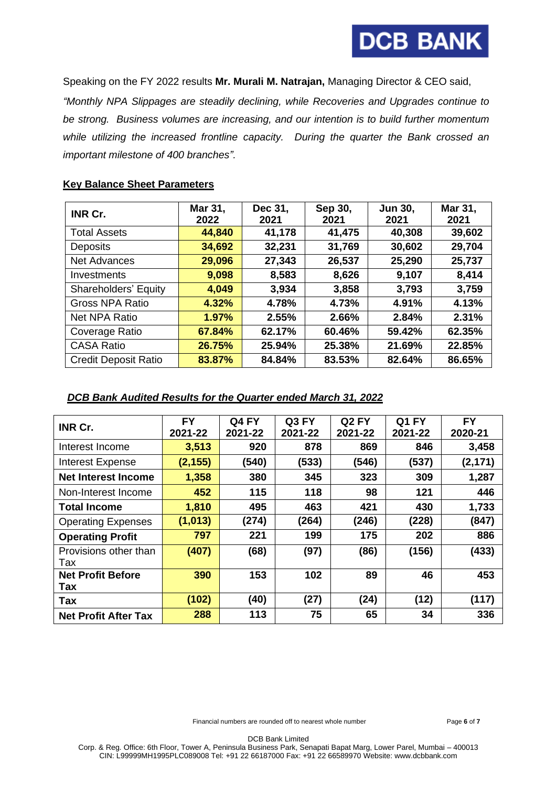

Speaking on the FY 2022 results **Mr. Murali M. Natrajan,** Managing Director & CEO said,

*"Monthly NPA Slippages are steadily declining, while Recoveries and Upgrades continue to be strong. Business volumes are increasing, and our intention is to build further momentum while utilizing the increased frontline capacity. During the quarter the Bank crossed an important milestone of 400 branches".*

# **Key Balance Sheet Parameters**

| INR Cr.                     | Mar 31,<br>2022 | Dec 31,<br>2021 | Sep 30,<br>2021 | <b>Jun 30,</b><br>2021 | Mar 31,<br>2021 |
|-----------------------------|-----------------|-----------------|-----------------|------------------------|-----------------|
|                             |                 |                 |                 |                        |                 |
| <b>Total Assets</b>         | 44,840          | 41,178          | 41,475          | 40,308                 | 39,602          |
| <b>Deposits</b>             | 34,692          | 32,231          | 31,769          | 30,602                 | 29,704          |
| <b>Net Advances</b>         | 29,096          | 27,343          | 26,537          | 25,290                 | 25,737          |
| Investments                 | 9,098           | 8,583           | 8,626           | 9,107                  | 8,414           |
| <b>Shareholders' Equity</b> | 4,049           | 3,934           | 3,858           | 3,793                  | 3,759           |
| <b>Gross NPA Ratio</b>      | 4.32%           | 4.78%           | 4.73%           | 4.91%                  | 4.13%           |
| <b>Net NPA Ratio</b>        | 1.97%           | 2.55%           | 2.66%           | 2.84%                  | 2.31%           |
| Coverage Ratio              | 67.84%          | 62.17%          | 60.46%          | 59.42%                 | 62.35%          |
| <b>CASA Ratio</b>           | 26.75%          | 25.94%          | 25.38%          | 21.69%                 | 22.85%          |
| <b>Credit Deposit Ratio</b> | 83.87%          | 84.84%          | 83.53%          | 82.64%                 | 86.65%          |

# *DCB Bank Audited Results for the Quarter ended March 31, 2022*

| INR Cr.                         | <b>FY</b><br>2021-22 | Q4 FY<br>2021-22 | Q3 FY<br>2021-22 | Q <sub>2</sub> FY<br>2021-22 | Q1 FY<br>2021-22 | <b>FY</b><br>2020-21 |
|---------------------------------|----------------------|------------------|------------------|------------------------------|------------------|----------------------|
| Interest Income                 | 3,513                | 920              | 878              | 869                          | 846              | 3,458                |
| <b>Interest Expense</b>         | (2, 155)             | (540)            | (533)            | (546)                        | (537)            | (2, 171)             |
| <b>Net Interest Income</b>      | 1,358                | 380              | 345              | 323                          | 309              | 1,287                |
| Non-Interest Income             | 452                  | 115              | 118              | 98                           | 121              | 446                  |
| Total Income                    | 1,810                | 495              | 463              | 421                          | 430              | 1,733                |
| <b>Operating Expenses</b>       | (1, 013)             | (274)            | (264)            | (246)                        | (228)            | (847)                |
| <b>Operating Profit</b>         | 797                  | 221              | 199              | 175                          | 202              | 886                  |
| Provisions other than<br>Tax    | (407)                | (68)             | (97)             | (86)                         | (156)            | (433)                |
| <b>Net Profit Before</b><br>Tax | 390                  | 153              | 102              | 89                           | 46               | 453                  |
| Tax                             | (102)                | (40)             | (27)             | (24)                         | (12)             | (117)                |
| <b>Net Profit After Tax</b>     | 288                  | 113              | 75               | 65                           | 34               | 336                  |

Financial numbers are rounded off to nearest whole number Page **6** of **7**

DCB Bank Limited Corp. & Reg. Office: 6th Floor, Tower A, Peninsula Business Park, Senapati Bapat Marg, Lower Parel, Mumbai – 400013 CIN: L99999MH1995PLC089008 Tel: +91 22 66187000 Fax: +91 22 66589970 Website: www.dcbbank.com